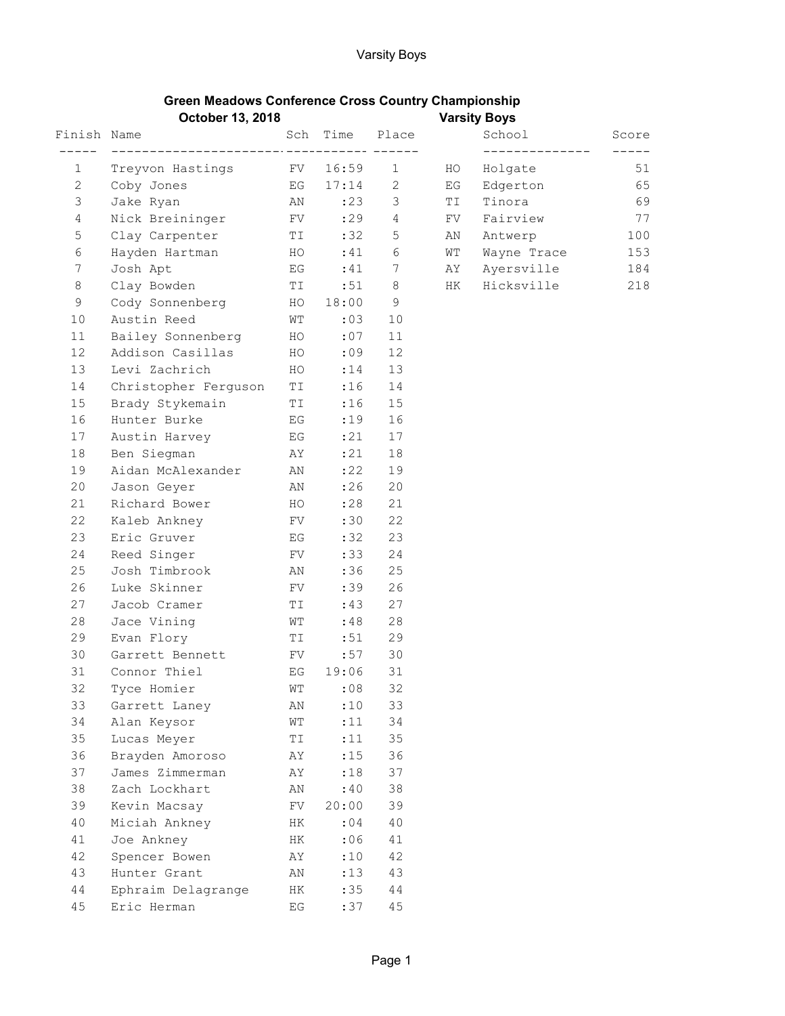| <b>Green Meadows Conference Cross Country Championship</b> |                     |
|------------------------------------------------------------|---------------------|
| October 13, 2018                                           | <b>Varsity Boys</b> |

|                                |                                                                                                                                                                                                                                                                                                                                                |                                                                                                                                                                                                                                          |           |                |                     | $\cdots$        |       |
|--------------------------------|------------------------------------------------------------------------------------------------------------------------------------------------------------------------------------------------------------------------------------------------------------------------------------------------------------------------------------------------|------------------------------------------------------------------------------------------------------------------------------------------------------------------------------------------------------------------------------------------|-----------|----------------|---------------------|-----------------|-------|
|                                |                                                                                                                                                                                                                                                                                                                                                |                                                                                                                                                                                                                                          |           | Sch Time Place |                     | School          | Score |
|                                |                                                                                                                                                                                                                                                                                                                                                |                                                                                                                                                                                                                                          |           |                |                     | _______________ |       |
| $1 \quad \Box$                 | Treyvon Hastings FV 16:59 1 HO                                                                                                                                                                                                                                                                                                                 |                                                                                                                                                                                                                                          |           |                |                     | Holgate         | 51    |
| $2 \left( \frac{1}{2} \right)$ | Coby Jones EG 17:14 2 EG                                                                                                                                                                                                                                                                                                                       |                                                                                                                                                                                                                                          |           |                |                     | Edgerton 65     |       |
| 3                              | Jake Ryan M N 23 3                                                                                                                                                                                                                                                                                                                             |                                                                                                                                                                                                                                          |           |                | TI                  | Tinora          | 69    |
| $\overline{4}$                 | Nick Breininger FV : 29 4                                                                                                                                                                                                                                                                                                                      |                                                                                                                                                                                                                                          |           |                | $\operatorname{FV}$ | Fairview        | 77    |
| 5                              | Clay Carpenter TI :32 5                                                                                                                                                                                                                                                                                                                        |                                                                                                                                                                                                                                          |           |                |                     | AN Antwerp      | 100   |
| 6                              | Hayden Hartman MO                                                                                                                                                                                                                                                                                                                              |                                                                                                                                                                                                                                          |           | $:41$ 6        |                     | WT Wayne Trace  | 153   |
| 7                              | Josh Apt<br>$\overline{E}$ and $\overline{E}$ and $\overline{E}$ and $\overline{E}$ and $\overline{E}$ and $\overline{E}$ and $\overline{E}$ and $\overline{E}$ and $\overline{E}$ and $\overline{E}$ and $\overline{E}$ and $\overline{E}$ and $\overline{E}$ and $\overline{E}$ and $\overline{E}$ and $\overline{E}$ and $\overline{E}$ and |                                                                                                                                                                                                                                          |           | $:41$ 7        |                     | AY Ayersville   | 184   |
| 8                              | Clay Bowden TI                                                                                                                                                                                                                                                                                                                                 |                                                                                                                                                                                                                                          |           | $:51$ 8        |                     | HK Hicksville   | 218   |
| 9                              | Cody Sonnenberg HO 18:00                                                                                                                                                                                                                                                                                                                       |                                                                                                                                                                                                                                          |           | 9              |                     |                 |       |
| 10                             | Austin Reed                                                                                                                                                                                                                                                                                                                                    |                                                                                                                                                                                                                                          | WT :03 10 |                |                     |                 |       |
| 11                             | Bailey Sonnenberg HO :07                                                                                                                                                                                                                                                                                                                       |                                                                                                                                                                                                                                          |           | 11             |                     |                 |       |
| 12                             | Addison Casillas HO :09                                                                                                                                                                                                                                                                                                                        |                                                                                                                                                                                                                                          |           | 12             |                     |                 |       |
| 13                             | Levi Zachrich HO                                                                                                                                                                                                                                                                                                                               |                                                                                                                                                                                                                                          | : 14      | 13             |                     |                 |       |
| 14                             | Christopher Ferguson TI                                                                                                                                                                                                                                                                                                                        |                                                                                                                                                                                                                                          | :16       | 14             |                     |                 |       |
| 15                             | Brady Stykemain TI                                                                                                                                                                                                                                                                                                                             |                                                                                                                                                                                                                                          | :16       | 15             |                     |                 |       |
| 16                             | Hunter Burke                                                                                                                                                                                                                                                                                                                                   | EG                                                                                                                                                                                                                                       | :19       | 16             |                     |                 |       |
| 17                             | Austin Harvey BG                                                                                                                                                                                                                                                                                                                               |                                                                                                                                                                                                                                          | : 21      | 17             |                     |                 |       |
| 18                             | Ben Siegman MY AY                                                                                                                                                                                                                                                                                                                              |                                                                                                                                                                                                                                          | : 21      | 18             |                     |                 |       |
| 19                             | Aidan McAlexander AN                                                                                                                                                                                                                                                                                                                           |                                                                                                                                                                                                                                          | : 22      | 19             |                     |                 |       |
| 20                             | Jason Geyer AN                                                                                                                                                                                                                                                                                                                                 |                                                                                                                                                                                                                                          | :26       | 20             |                     |                 |       |
| 21                             | Richard Bower                                                                                                                                                                                                                                                                                                                                  | HO                                                                                                                                                                                                                                       | :28       | 21             |                     |                 |       |
| 22                             | Kaleb Ankney FV FV                                                                                                                                                                                                                                                                                                                             |                                                                                                                                                                                                                                          | :30       | 22             |                     |                 |       |
| 23                             | Eric Gruver                                                                                                                                                                                                                                                                                                                                    | EG <sub>s</sub> and the set of the set of the set of the set of the set of the set of the set of the set of the set of the set of the set of the set of the set of the set of the set of the set of the set of the set of the set of the | :32       | 23             |                     |                 |       |
| 24                             | Reed Singer FV FV                                                                                                                                                                                                                                                                                                                              |                                                                                                                                                                                                                                          | :33       | 24             |                     |                 |       |
| 25                             | Josh Timbrook                                                                                                                                                                                                                                                                                                                                  | AN                                                                                                                                                                                                                                       | :36       | 25             |                     |                 |       |
| 26                             | <b>FV</b><br>Luke Skinner                                                                                                                                                                                                                                                                                                                      |                                                                                                                                                                                                                                          | :39       | 26             |                     |                 |       |
| 27                             | Jacob Cramer                                                                                                                                                                                                                                                                                                                                   | <b>TI</b>                                                                                                                                                                                                                                | :43       | 27             |                     |                 |       |
| 28                             | Jace Vining                                                                                                                                                                                                                                                                                                                                    | <b>WT</b>                                                                                                                                                                                                                                | :48       | 28             |                     |                 |       |
| 29                             | Evan Flory                                                                                                                                                                                                                                                                                                                                     | <b>TI</b>                                                                                                                                                                                                                                | :51       | 29             |                     |                 |       |
| 30                             | Garrett Bennett FV                                                                                                                                                                                                                                                                                                                             |                                                                                                                                                                                                                                          | :57       | 30             |                     |                 |       |
| 31                             | EG 19:06<br>Connor Thiel                                                                                                                                                                                                                                                                                                                       |                                                                                                                                                                                                                                          |           | 31             |                     |                 |       |
| 32                             | Tyce Homier                                                                                                                                                                                                                                                                                                                                    | WТ                                                                                                                                                                                                                                       | :08       | 32             |                     |                 |       |
| 33                             | Garrett Laney                                                                                                                                                                                                                                                                                                                                  | ΑN                                                                                                                                                                                                                                       | :10       | 33             |                     |                 |       |
| 34                             | Alan Keysor                                                                                                                                                                                                                                                                                                                                    | WΤ                                                                                                                                                                                                                                       | :11       | 34             |                     |                 |       |
| 35                             | Lucas Meyer                                                                                                                                                                                                                                                                                                                                    | ΤI                                                                                                                                                                                                                                       | :11       | 35             |                     |                 |       |
| 36                             | Brayden Amoroso                                                                                                                                                                                                                                                                                                                                | AΥ                                                                                                                                                                                                                                       | :15       | 36             |                     |                 |       |
| 37                             | James Zimmerman                                                                                                                                                                                                                                                                                                                                | AΥ                                                                                                                                                                                                                                       | :18       | 37             |                     |                 |       |
| 38                             | Zach Lockhart                                                                                                                                                                                                                                                                                                                                  | ΑN                                                                                                                                                                                                                                       | :40       | 38             |                     |                 |       |
| 39                             | Kevin Macsay                                                                                                                                                                                                                                                                                                                                   | FV                                                                                                                                                                                                                                       | 20:00     | 39             |                     |                 |       |
| 40                             | Miciah Ankney                                                                                                                                                                                                                                                                                                                                  | HК                                                                                                                                                                                                                                       | : 04      | 40             |                     |                 |       |
| 41                             | Joe Ankney                                                                                                                                                                                                                                                                                                                                     | HК                                                                                                                                                                                                                                       | :06       | 41             |                     |                 |       |
| 42                             | Spencer Bowen                                                                                                                                                                                                                                                                                                                                  | ΑY                                                                                                                                                                                                                                       | :10       | 42             |                     |                 |       |
| 43                             | Hunter Grant                                                                                                                                                                                                                                                                                                                                   | AN                                                                                                                                                                                                                                       | : 13      | 43             |                     |                 |       |
| 44                             | Ephraim Delagrange                                                                                                                                                                                                                                                                                                                             | HК                                                                                                                                                                                                                                       | :35       | $4\,4$         |                     |                 |       |
| 45                             | Eric Herman                                                                                                                                                                                                                                                                                                                                    | $\mathop{\hbox{\rm E}} G$                                                                                                                                                                                                                | :37       | $4\,5$         |                     |                 |       |